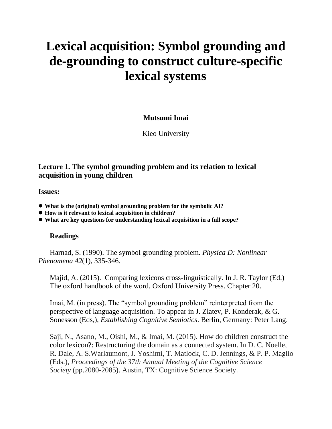# **Lexical acquisition: Symbol grounding and de-grounding to construct culture-specific lexical systems**

#### **Mutsumi Imai**

Kieo University

## **Lecture 1. The symbol grounding problem and its relation to lexical acquisition in young children**

**Issues:**

- **What is the (original) symbol grounding problem for the symbolic AI?**
- **How is it relevant to lexical acquisition in children?**
- **What are key questions for understanding lexical acquisition in a full scope?**

#### **Readings**

Harnad, S. (1990). The symbol grounding problem. *Physica D: Nonlinear Phenomena 42*(1), 335-346.

Majid, A. (2015). Comparing lexicons cross-linguistically. In J. R. Taylor (Ed.) The oxford handbook of the word. Oxford University Press. Chapter 20.

Imai, M. (in press). The "symbol grounding problem" reinterpreted from the perspective of language acquisition. To appear in J. Zlatev, P. Konderak, & G. Sonesson (Eds,), *Establishing Cognitive Semiotics*. Berlin, Germany: Peter Lang.

Saji, N., Asano, M., Oishi, M., & Imai, M. (2015). How do children construct the color lexicon?: Restructuring the domain as a connected system. In D. C. Noelle, R. Dale, A. S.Warlaumont, J. Yoshimi, T. Matlock, C. D. Jennings, & P. P. Maglio (Eds.), *Proceedings of the 37th Annual Meeting of the Cognitive Science Society* (pp.2080-2085). Austin, TX: Cognitive Science Society.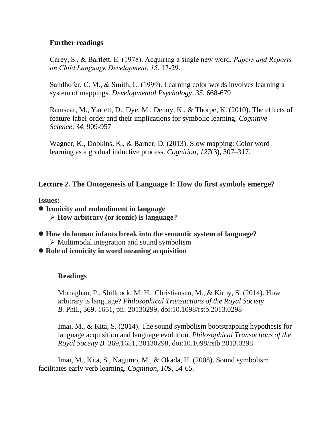#### **Further readings**

Carey, S., & Bartlett, E. (1978). Acquiring a single new word. *Papers and Reports on Child Language Development*, *15*, 17-29.

Sandhofer, C. M., & Smith, L. (1999). Learning color words involves learning a system of mappings. *Developmental Psychology*, *35*, 668-679

Ramscar, M., Yarlett, D., Dye, M., Denny, K., & Thorpe, K. (2010). The effects of feature-label-order and their implications for symbolic learning. *Cognitive Science*, *34*, 909-957

Wagner, K., Dobkins, K., & Barner, D. (2013). Slow mapping: Color word learning as a gradual inductive process. *Cognition*, *127*(3), 307–317.

## **Lecture 2. The Ontogenesis of Language I: How do first symbols emerge?**

#### **Issues:**

**Iconicity and embodiment in language**

**How arbitrary (or iconic) is language?**

- **How do human infants break into the semantic system of language?**
	- $\triangleright$  Multimodal integration and sound symbolism
- **Role of iconicity in word meaning acquisition**

## **Readings**

Monaghan, P., Shillcock, M. H., Christiansen, M., & Kirby, S. (2014). How arbitrary is language? *Philosophical Transactions of the Royal Society B.* Phil., 369, 1651, pii: 20130299, doi:10.1098/rstb.2013.0298

Imai, M., & Kita, S. (2014). The sound symbolism bootstrapping hypothesis for language acquisition and language evolution. *Philosophical Transactions of the Royal Soceity B.* 369,1651, 20130298, doi:10.1098/rstb.2013.0298

Imai, M., Kita, S., Nagumo, M., & Okada, H. (2008). Sound symbolism facilitates early verb learning. *Cognition*, *109*, 54-65.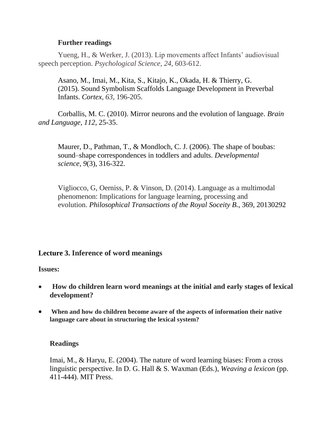#### **Further readings**

Yueng, H., & Werker, J. (2013). Lip movements affect Infants' audiovisual speech perception. *Psychological Science*, *24*, 603-612.

Asano, M., Imai, M., Kita, S., Kitajo, K., Okada, H. & Thierry, G. (2015). Sound Symbolism Scaffolds Language Development in Preverbal Infants. *Cortex, 63,* 196-205.

Corballis, M. C. (2010). Mirror neurons and the evolution of language. *Brain and Language, 112*, 25-35.

Maurer, D., Pathman, T., & Mondloch, C. J. (2006). The shape of boubas: sound–shape correspondences in toddlers and adults. *Developmental science, 9*(3), 316-322.

Vigliocco, G, Oerniss, P. & Vinson, D. (2014). Language as a multimodal phenomenon: Implications for language learning, processing and evolution. *Philosophical Transactions of the Royal Soceity B.*, 369, 20130292

## **Lecture 3. Inference of word meanings**

**Issues:**

- **How do children learn word meanings at the initial and early stages of lexical development?**
- **When and how do children become aware of the aspects of information their native language care about in structuring the lexical system?**

## **Readings**

Imai, M., & Haryu, E. (2004). The nature of word learning biases: From a cross linguistic perspective. In D. G. Hall & S. Waxman (Eds.), *Weaving a lexicon* (pp. 411-444). MIT Press.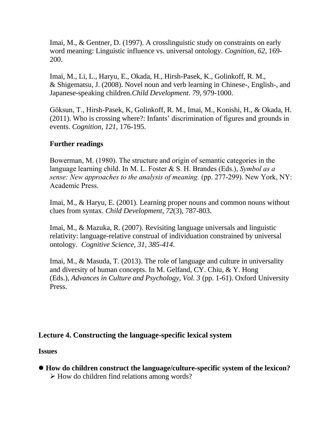Imai, M., & Gentner, D. (1997). A crosslinguistic study on constraints on early word meaning: Linguistic influence vs. universal ontology. *Cognition*, *62*, 169- 200.

Imai, M., Li, L., Haryu, E., Okada, H., Hirsh-Pasek, K., Golinkoff, R. M., & Shigematsu, J. (2008). Novel noun and verb learning in Chinese-, English-, and Japanese-speaking children.*Child Development*. *79*, 979-1000.

Göksun, T., Hirsh-Pasek, K, Golinkoff, R. M., Imai, M., Konishi, H., & Okada, H. (2011). Who is crossing where?: Infants' discrimination of figures and grounds in events. *Cognition*, *121*, 176-195.

#### **Further readings**

Bowerman, M. (1980). The structure and origin of semantic categories in the language learning child. In M. L. Foster & S. H. Brandes (Eds.), *Symbol as a sense: New approaches to the analysis of meaning.* (pp. 277-299). New York, NY: Academic Press.

Imai, M., & Haryu, E. (2001). Learning proper nouns and common nouns without clues from syntax. *Child Development*, *72*(3), 787-803.

Imai, M., & Mazuka, R. (2007). Revisiting language universals and linguistic relativity: language-relative construal of individuation constrained by universal ontology. *Cognitive Science, 31, 385-414*.

Imai, M., & Masuda, T. (2013). The role of language and culture in universality and diversity of human concepts. In M. Gelfand, CY. Chiu, & Y. Hong (Eds.), *Advances in Culture and Psychology, Vol. 3* (pp. 1-61). Oxford University Press.

## **Lecture 4. Constructing the language-specific lexical system**

**Issues**

 **How do children construct the language/culture-specific system of the lexicon?**  $\triangleright$  How do children find relations among words?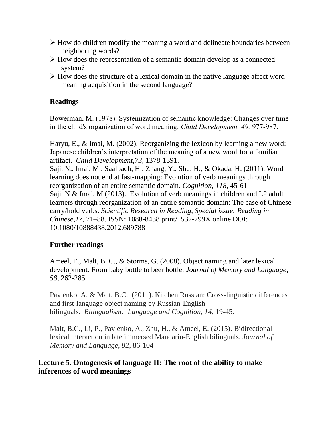- $\triangleright$  How do children modify the meaning a word and delineate boundaries between neighboring words?
- $\triangleright$  How does the representation of a semantic domain develop as a connected system?
- $\triangleright$  How does the structure of a lexical domain in the native language affect word meaning acquisition in the second language?

## **Readings**

Bowerman, M. (1978). Systemization of semantic knowledge: Changes over time in the child's organization of word meaning. *Child Development, 49,* 977-987.

Haryu, E., & Imai, M. (2002). Reorganizing the lexicon by learning a new word: Japanese children's interpretation of the meaning of a new word for a familiar artifact. *Child Development*,*73*, 1378-1391. Saji, N., Imai, M., Saalbach, H., Zhang, Y., Shu, H., & Okada, H. (2011). Word learning does not end at fast-mapping: Evolution of verb meanings through reorganization of an entire semantic domain. *Cognition*, *118*, 45-61 Saji, N & Imai, M (2013). Evolution of verb meanings in children and L2 adult learners through reorganization of an entire semantic domain: The case of Chinese carry/hold verbs. *Scientific Research in Reading, Special issue: Reading in Chinese,17*, 71–88. ISSN: 1088-8438 print/1532-799X online DOI: 10.1080/10888438.2012.689788

## **Further readings**

Ameel, E., Malt, B. C., & Storms, G. (2008). Object naming and later lexical development: From baby bottle to beer bottle. *Journal of Memory and Language, 58*, 262-285.

Pavlenko, A. & Malt, B.C. (2011). Kitchen Russian: Cross-linguistic differences and first-language object naming by Russian-English bilinguals. *Bilingualism: Language and Cognition, 14,* 19-45.

Malt, B.C., Li, P., Pavlenko, A., Zhu, H., & Ameel, E. (2015). Bidirectional lexical interaction in late immersed Mandarin-English bilinguals. *Journal of Memory and Language*, *82*, 86-104

# **Lecture 5. Ontogenesis of language II: The root of the ability to make inferences of word meanings**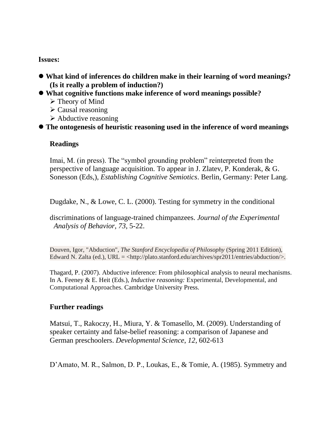#### **Issues:**

- **What kind of inferences do children make in their learning of word meanings? (Is it really a problem of induction?)**
- **What cognitive functions make inference of word meanings possible?**
	- Theory of Mind
	- $\triangleright$  Causal reasoning
	- $\triangleright$  Abductive reasoning
- **The ontogenesis of heuristic reasoning used in the inference of word meanings**

## **Readings**

Imai, M. (in press). The "symbol grounding problem" reinterpreted from the perspective of language acquisition. To appear in J. Zlatev, P. Konderak, & G. Sonesson (Eds,), *Establishing Cognitive Semiotics*. Berlin, Germany: Peter Lang.

Dugdake, N., & Lowe, C. L. (2000). Testing for symmetry in the conditional

discriminations of language-trained chimpanzees. *Journal of the Experimental Analysis of Behavior, 73*, 5-22.

Douven, Igor, "Abduction", *The Stanford Encyclopedia of Philosophy* (Spring 2011 Edition), Edward N. Zalta (ed.), URL =  $\langle$ http://plato.stanford.edu/archives/spr2011/entries/abduction/>.

Thagard, P. (2007). Abductive inference: From philosophical analysis to neural mechanisms. In A. Feeney & E. Heit (Eds.), *Inductive reasoning:* Experimental, Developmental, and Computational Approaches. Cambridge University Press.

## **Further readings**

Matsui, T., Rakoczy, H., Miura, Y. & Tomasello, M. (2009). Understanding of speaker certainty and false-belief reasoning: a comparison of Japanese and German preschoolers. *Developmental Science*, *12*, 602-613

D'Amato, M. R., Salmon, D. P., Loukas, E., & Tomie, A. (1985). Symmetry and